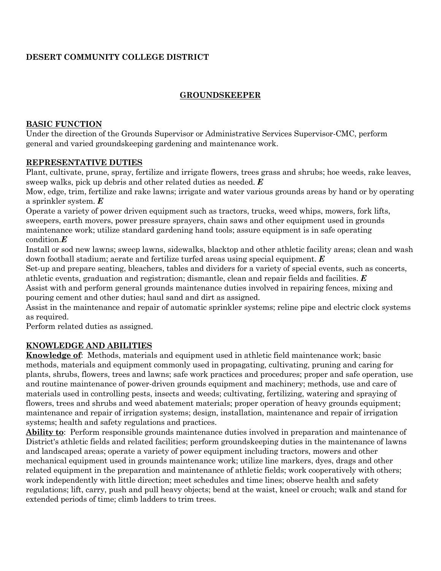# **DESERT COMMUNITY COLLEGE DISTRICT**

# **GROUNDSKEEPER**

### **BASIC FUNCTION**

Under the direction of the Grounds Supervisor or Administrative Services Supervisor-CMC, perform general and varied groundskeeping gardening and maintenance work.

## **REPRESENTATIVE DUTIES**

Plant, cultivate, prune, spray, fertilize and irrigate flowers, trees grass and shrubs; hoe weeds, rake leaves, sweep walks, pick up debris and other related duties as needed. *E*

Mow, edge, trim, fertilize and rake lawns; irrigate and water various grounds areas by hand or by operating a sprinkler system. *E*

Operate a variety of power driven equipment such as tractors, trucks, weed whips, mowers, fork lifts, sweepers, earth movers, power pressure sprayers, chain saws and other equipment used in grounds maintenance work; utilize standard gardening hand tools; assure equipment is in safe operating condition.*E*

Install or sod new lawns; sweep lawns, sidewalks, blacktop and other athletic facility areas; clean and wash down football stadium; aerate and fertilize turfed areas using special equipment. *E*

Set-up and prepare seating, bleachers, tables and dividers for a variety of special events, such as concerts,

athletic events, graduation and registration; dismantle, clean and repair fields and facilities. *E* Assist with and perform general grounds maintenance duties involved in repairing fences, mixing and

pouring cement and other duties; haul sand and dirt as assigned.

Assist in the maintenance and repair of automatic sprinkler systems; reline pipe and electric clock systems as required.

Perform related duties as assigned.

# **KNOWLEDGE AND ABILITIES**

**Knowledge of**: Methods, materials and equipment used in athletic field maintenance work; basic methods, materials and equipment commonly used in propagating, cultivating, pruning and caring for plants, shrubs, flowers, trees and lawns; safe work practices and procedures; proper and safe operation, use and routine maintenance of power-driven grounds equipment and machinery; methods, use and care of materials used in controlling pests, insects and weeds; cultivating, fertilizing, watering and spraying of flowers, trees and shrubs and weed abatement materials; proper operation of heavy grounds equipment; maintenance and repair of irrigation systems; design, installation, maintenance and repair of irrigation systems; health and safety regulations and practices.

**Ability to**: Perform responsible grounds maintenance duties involved in preparation and maintenance of District's athletic fields and related facilities; perform groundskeeping duties in the maintenance of lawns and landscaped areas; operate a variety of power equipment including tractors, mowers and other mechanical equipment used in grounds maintenance work; utilize line markers, dyes, drags and other related equipment in the preparation and maintenance of athletic fields; work cooperatively with others; work independently with little direction; meet schedules and time lines; observe health and safety regulations; lift, carry, push and pull heavy objects; bend at the waist, kneel or crouch; walk and stand for extended periods of time; climb ladders to trim trees.